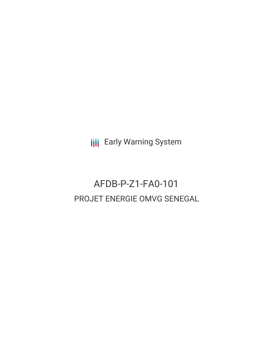**III** Early Warning System

# AFDB-P-Z1-FA0-101 PROJET ENERGIE OMVG SENEGAL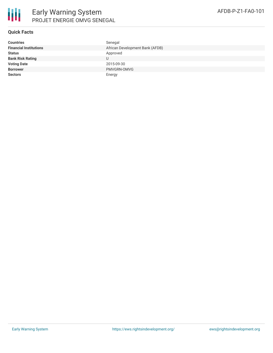

#### **Quick Facts**

| <b>Countries</b>              | Senegal                         |
|-------------------------------|---------------------------------|
| <b>Financial Institutions</b> | African Development Bank (AFDB) |
| <b>Status</b>                 | Approved                        |
| <b>Bank Risk Rating</b>       | U                               |
| <b>Voting Date</b>            | 2015-09-30                      |
| <b>Borrower</b>               | PMVGRN-OMVG                     |
| <b>Sectors</b>                | Energy                          |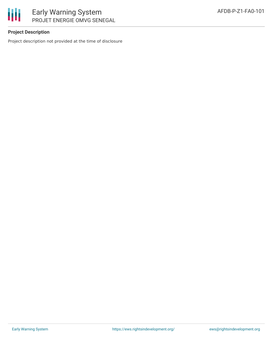

## Early Warning System PROJET ENERGIE OMVG SENEGAL

### **Project Description**

Project description not provided at the time of disclosure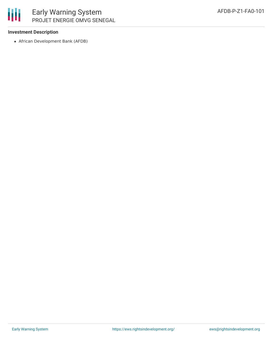

## Early Warning System PROJET ENERGIE OMVG SENEGAL

### **Investment Description**

African Development Bank (AFDB)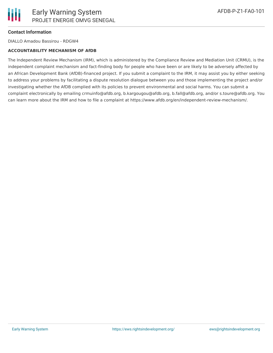

### **Contact Information**

DIALLO Amadou Bassirou - RDGW4

#### **ACCOUNTABILITY MECHANISM OF AfDB**

The Independent Review Mechanism (IRM), which is administered by the Compliance Review and Mediation Unit (CRMU), is the independent complaint mechanism and fact-finding body for people who have been or are likely to be adversely affected by an African Development Bank (AfDB)-financed project. If you submit a complaint to the IRM, it may assist you by either seeking to address your problems by facilitating a dispute resolution dialogue between you and those implementing the project and/or investigating whether the AfDB complied with its policies to prevent environmental and social harms. You can submit a complaint electronically by emailing crmuinfo@afdb.org, b.kargougou@afdb.org, b.fall@afdb.org, and/or s.toure@afdb.org. You can learn more about the IRM and how to file a complaint at https://www.afdb.org/en/independent-review-mechanism/.